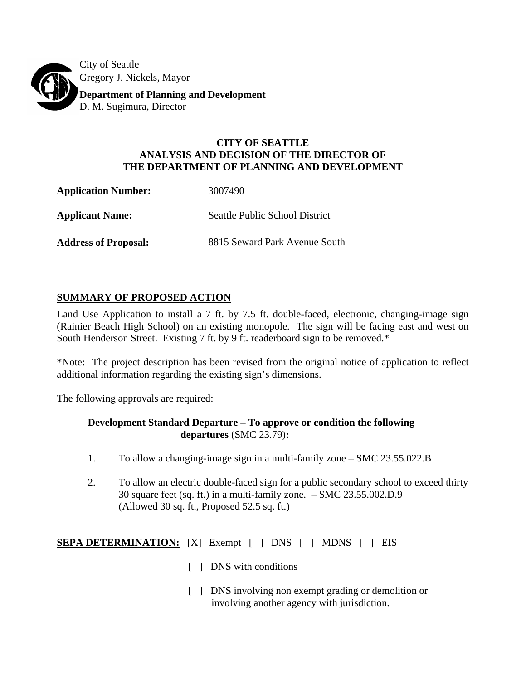City of Seattle Gregory J. Nickels, Mayor **Department of Planning and Development**  D. M. Sugimura, Director

# **CITY OF SEATTLE ANALYSIS AND DECISION OF THE DIRECTOR OF THE DEPARTMENT OF PLANNING AND DEVELOPMENT**

**Application Number:** 3007490 **Applicant Name:** Seattle Public School District **Address of Proposal:** 8815 Seward Park Avenue South

# **SUMMARY OF PROPOSED ACTION**

Land Use Application to install a 7 ft. by 7.5 ft. double-faced, electronic, changing-image sign (Rainier Beach High School) on an existing monopole. The sign will be facing east and west on South Henderson Street. Existing 7 ft. by 9 ft. readerboard sign to be removed.\*

\*Note: The project description has been revised from the original notice of application to reflect additional information regarding the existing sign's dimensions.

The following approvals are required:

## **Development Standard Departure – To approve or condition the following departures** (SMC 23.79)**:**

- 1. To allow a changing-image sign in a multi-family zone SMC 23.55.022.B
- 2. To allow an electric double-faced sign for a public secondary school to exceed thirty 30 square feet (sq. ft.) in a multi-family zone. – SMC 23.55.002.D.9 (Allowed 30 sq. ft., Proposed 52.5 sq. ft.)

**SEPA DETERMINATION:** [X] Exempt [ ] DNS [ ] MDNS [ ] EIS

- [ ] DNS with conditions
- [ ] DNS involving non exempt grading or demolition or involving another agency with jurisdiction.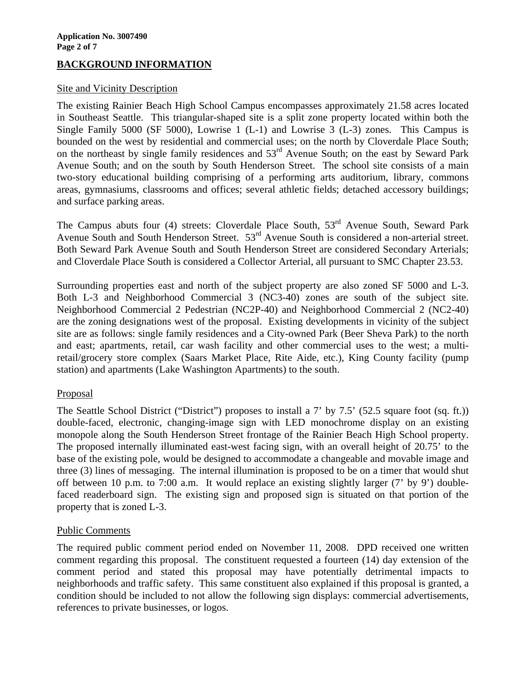## **BACKGROUND INFORMATION**

### Site and Vicinity Description

The existing Rainier Beach High School Campus encompasses approximately 21.58 acres located in Southeast Seattle. This triangular-shaped site is a split zone property located within both the Single Family 5000 (SF 5000), Lowrise 1 (L-1) and Lowrise 3 (L-3) zones. This Campus is bounded on the west by residential and commercial uses; on the north by Cloverdale Place South; on the northeast by single family residences and 53<sup>rd</sup> Avenue South; on the east by Seward Park Avenue South; and on the south by South Henderson Street. The school site consists of a main two-story educational building comprising of a performing arts auditorium, library, commons areas, gymnasiums, classrooms and offices; several athletic fields; detached accessory buildings; and surface parking areas.

The Campus abuts four (4) streets: Cloverdale Place South, 53<sup>rd</sup> Avenue South, Seward Park Avenue South and South Henderson Street. 53<sup>rd</sup> Avenue South is considered a non-arterial street. Both Seward Park Avenue South and South Henderson Street are considered Secondary Arterials; and Cloverdale Place South is considered a Collector Arterial, all pursuant to SMC Chapter 23.53.

Surrounding properties east and north of the subject property are also zoned SF 5000 and L-3. Both L-3 and Neighborhood Commercial 3 (NC3-40) zones are south of the subject site. Neighborhood Commercial 2 Pedestrian (NC2P-40) and Neighborhood Commercial 2 (NC2-40) are the zoning designations west of the proposal. Existing developments in vicinity of the subject site are as follows: single family residences and a City-owned Park (Beer Sheva Park) to the north and east; apartments, retail, car wash facility and other commercial uses to the west; a multiretail/grocery store complex (Saars Market Place, Rite Aide, etc.), King County facility (pump station) and apartments (Lake Washington Apartments) to the south.

### Proposal

The Seattle School District ("District") proposes to install a 7' by 7.5' (52.5 square foot (sq. ft.)) double-faced, electronic, changing-image sign with LED monochrome display on an existing monopole along the South Henderson Street frontage of the Rainier Beach High School property. The proposed internally illuminated east-west facing sign, with an overall height of 20.75' to the base of the existing pole, would be designed to accommodate a changeable and movable image and three (3) lines of messaging. The internal illumination is proposed to be on a timer that would shut off between 10 p.m. to 7:00 a.m. It would replace an existing slightly larger (7' by 9') doublefaced readerboard sign. The existing sign and proposed sign is situated on that portion of the property that is zoned L-3.

### Public Comments

The required public comment period ended on November 11, 2008. DPD received one written comment regarding this proposal. The constituent requested a fourteen (14) day extension of the comment period and stated this proposal may have potentially detrimental impacts to neighborhoods and traffic safety. This same constituent also explained if this proposal is granted, a condition should be included to not allow the following sign displays: commercial advertisements, references to private businesses, or logos.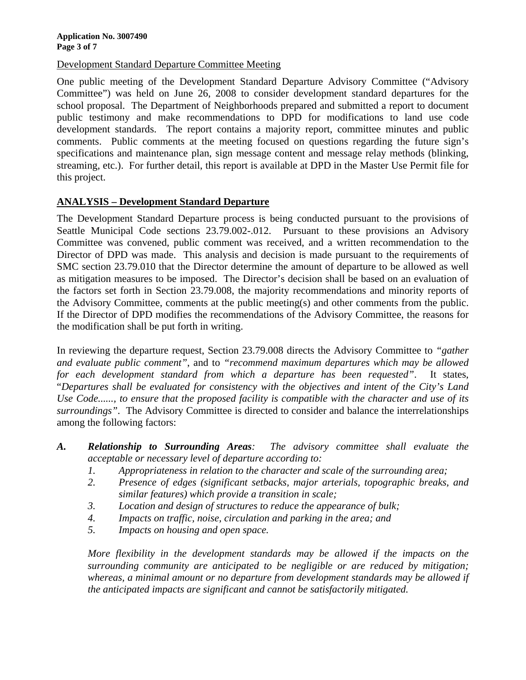Development Standard Departure Committee Meeting

One public meeting of the Development Standard Departure Advisory Committee ("Advisory Committee") was held on June 26, 2008 to consider development standard departures for the school proposal. The Department of Neighborhoods prepared and submitted a report to document public testimony and make recommendations to DPD for modifications to land use code development standards. The report contains a majority report, committee minutes and public comments. Public comments at the meeting focused on questions regarding the future sign's specifications and maintenance plan, sign message content and message relay methods (blinking, streaming, etc.). For further detail, this report is available at DPD in the Master Use Permit file for this project.

### **ANALYSIS – Development Standard Departure**

The Development Standard Departure process is being conducted pursuant to the provisions of Seattle Municipal Code sections 23.79.002-.012. Pursuant to these provisions an Advisory Committee was convened, public comment was received, and a written recommendation to the Director of DPD was made. This analysis and decision is made pursuant to the requirements of SMC section 23.79.010 that the Director determine the amount of departure to be allowed as well as mitigation measures to be imposed. The Director's decision shall be based on an evaluation of the factors set forth in Section 23.79.008, the majority recommendations and minority reports of the Advisory Committee, comments at the public meeting(s) and other comments from the public. If the Director of DPD modifies the recommendations of the Advisory Committee, the reasons for the modification shall be put forth in writing.

In reviewing the departure request, Section 23.79.008 directs the Advisory Committee to *"gather and evaluate public comment"*, and to *"recommend maximum departures which may be allowed for each development standard from which a departure has been requested"*. It states, "*Departures shall be evaluated for consistency with the objectives and intent of the City's Land Use Code......, to ensure that the proposed facility is compatible with the character and use of its surroundings"*. The Advisory Committee is directed to consider and balance the interrelationships among the following factors:

- *A. Relationship to Surrounding Areas: The advisory committee shall evaluate the acceptable or necessary level of departure according to:* 
	- *1. Appropriateness in relation to the character and scale of the surrounding area;*
	- *2. Presence of edges (significant setbacks, major arterials, topographic breaks, and similar features) which provide a transition in scale;*
	- *3. Location and design of structures to reduce the appearance of bulk;*
	- *4. Impacts on traffic, noise, circulation and parking in the area; and*
	- *5. Impacts on housing and open space.*

*More flexibility in the development standards may be allowed if the impacts on the surrounding community are anticipated to be negligible or are reduced by mitigation; whereas, a minimal amount or no departure from development standards may be allowed if the anticipated impacts are significant and cannot be satisfactorily mitigated.*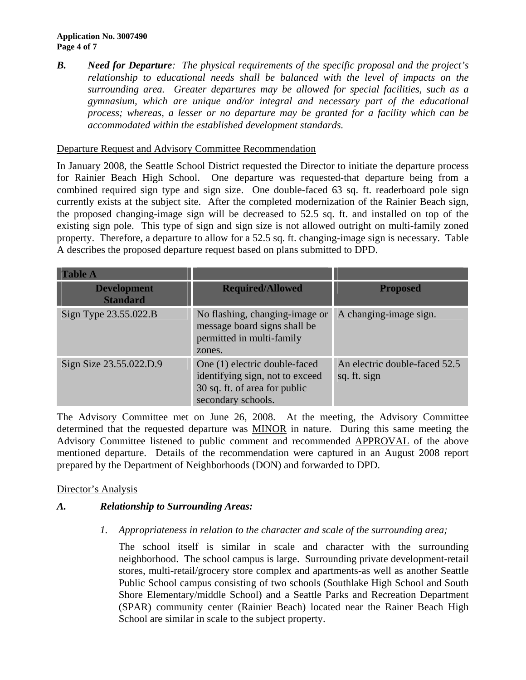#### **Application No. 3007490 Page 4 of 7**

*B. Need for Departure: The physical requirements of the specific proposal and the project's relationship to educational needs shall be balanced with the level of impacts on the surrounding area. Greater departures may be allowed for special facilities, such as a gymnasium, which are unique and/or integral and necessary part of the educational process; whereas, a lesser or no departure may be granted for a facility which can be accommodated within the established development standards.* 

### Departure Request and Advisory Committee Recommendation

In January 2008, the Seattle School District requested the Director to initiate the departure process for Rainier Beach High School. One departure was requested-that departure being from a combined required sign type and sign size. One double-faced 63 sq. ft. readerboard pole sign currently exists at the subject site. After the completed modernization of the Rainier Beach sign, the proposed changing-image sign will be decreased to 52.5 sq. ft. and installed on top of the existing sign pole. This type of sign and sign size is not allowed outright on multi-family zoned property. Therefore, a departure to allow for a 52.5 sq. ft. changing-image sign is necessary. Table A describes the proposed departure request based on plans submitted to DPD.

| <b>Table A</b>                        |                                                                                                                         |                                               |
|---------------------------------------|-------------------------------------------------------------------------------------------------------------------------|-----------------------------------------------|
| <b>Development</b><br><b>Standard</b> | <b>Required/Allowed</b>                                                                                                 | <b>Proposed</b>                               |
| Sign Type 23.55.022.B                 | No flashing, changing-image or<br>message board signs shall be<br>permitted in multi-family<br>zones.                   | A changing-image sign.                        |
| Sign Size 23.55.022.D.9               | One (1) electric double-faced<br>identifying sign, not to exceed<br>30 sq. ft. of area for public<br>secondary schools. | An electric double-faced 52.5<br>sq. ft. sign |

The Advisory Committee met on June 26, 2008. At the meeting, the Advisory Committee determined that the requested departure was MINOR in nature. During this same meeting the Advisory Committee listened to public comment and recommended APPROVAL of the above mentioned departure. Details of the recommendation were captured in an August 2008 report prepared by the Department of Neighborhoods (DON) and forwarded to DPD.

## Director's Analysis

## *A. Relationship to Surrounding Areas:*

*1. Appropriateness in relation to the character and scale of the surrounding area;* 

 The school itself is similar in scale and character with the surrounding neighborhood. The school campus is large. Surrounding private development-retail stores, multi-retail/grocery store complex and apartments-as well as another Seattle Public School campus consisting of two schools (Southlake High School and South Shore Elementary/middle School) and a Seattle Parks and Recreation Department (SPAR) community center (Rainier Beach) located near the Rainer Beach High School are similar in scale to the subject property.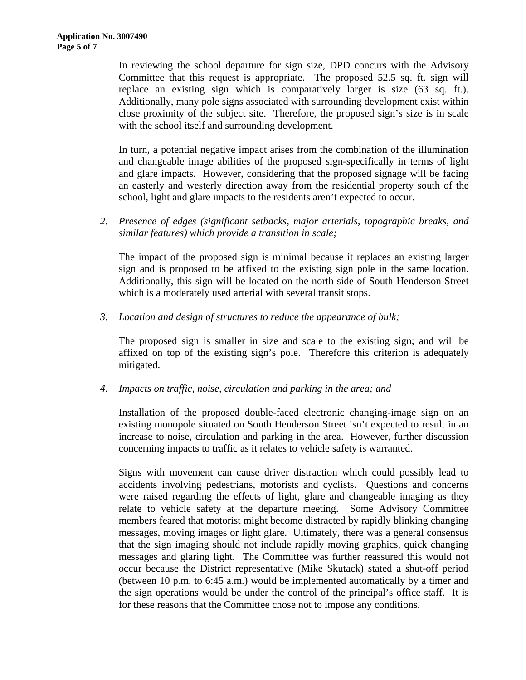In reviewing the school departure for sign size, DPD concurs with the Advisory Committee that this request is appropriate. The proposed 52.5 sq. ft. sign will replace an existing sign which is comparatively larger is size (63 sq. ft.). Additionally, many pole signs associated with surrounding development exist within close proximity of the subject site. Therefore, the proposed sign's size is in scale with the school itself and surrounding development.

In turn, a potential negative impact arises from the combination of the illumination and changeable image abilities of the proposed sign-specifically in terms of light and glare impacts. However, considering that the proposed signage will be facing an easterly and westerly direction away from the residential property south of the school, light and glare impacts to the residents aren't expected to occur.

 *2. Presence of edges (significant setbacks, major arterials, topographic breaks, and similar features) which provide a transition in scale;* 

The impact of the proposed sign is minimal because it replaces an existing larger sign and is proposed to be affixed to the existing sign pole in the same location. Additionally, this sign will be located on the north side of South Henderson Street which is a moderately used arterial with several transit stops.

 *3. Location and design of structures to reduce the appearance of bulk;* 

The proposed sign is smaller in size and scale to the existing sign; and will be affixed on top of the existing sign's pole. Therefore this criterion is adequately mitigated.

 *4. Impacts on traffic, noise, circulation and parking in the area; and* 

Installation of the proposed double-faced electronic changing-image sign on an existing monopole situated on South Henderson Street isn't expected to result in an increase to noise, circulation and parking in the area. However, further discussion concerning impacts to traffic as it relates to vehicle safety is warranted.

Signs with movement can cause driver distraction which could possibly lead to accidents involving pedestrians, motorists and cyclists. Questions and concerns were raised regarding the effects of light, glare and changeable imaging as they relate to vehicle safety at the departure meeting. Some Advisory Committee members feared that motorist might become distracted by rapidly blinking changing messages, moving images or light glare. Ultimately, there was a general consensus that the sign imaging should not include rapidly moving graphics, quick changing messages and glaring light. The Committee was further reassured this would not occur because the District representative (Mike Skutack) stated a shut-off period (between 10 p.m. to 6:45 a.m.) would be implemented automatically by a timer and the sign operations would be under the control of the principal's office staff. It is for these reasons that the Committee chose not to impose any conditions.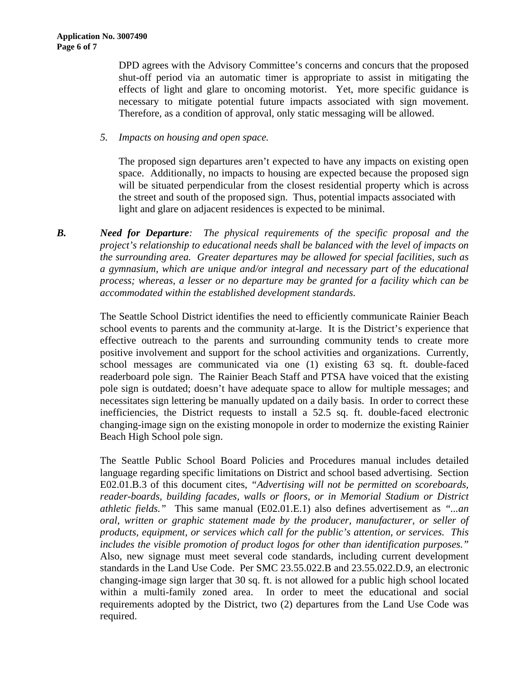DPD agrees with the Advisory Committee's concerns and concurs that the proposed shut-off period via an automatic timer is appropriate to assist in mitigating the effects of light and glare to oncoming motorist. Yet, more specific guidance is necessary to mitigate potential future impacts associated with sign movement. Therefore, as a condition of approval, only static messaging will be allowed.

### *5. Impacts on housing and open space.*

The proposed sign departures aren't expected to have any impacts on existing open space. Additionally, no impacts to housing are expected because the proposed sign will be situated perpendicular from the closest residential property which is across the street and south of the proposed sign. Thus, potential impacts associated with light and glare on adjacent residences is expected to be minimal.

*B. Need for Departure: The physical requirements of the specific proposal and the project's relationship to educational needs shall be balanced with the level of impacts on the surrounding area. Greater departures may be allowed for special facilities, such as a gymnasium, which are unique and/or integral and necessary part of the educational process; whereas, a lesser or no departure may be granted for a facility which can be accommodated within the established development standards.* 

> The Seattle School District identifies the need to efficiently communicate Rainier Beach school events to parents and the community at-large. It is the District's experience that effective outreach to the parents and surrounding community tends to create more positive involvement and support for the school activities and organizations. Currently, school messages are communicated via one (1) existing 63 sq. ft. double-faced readerboard pole sign. The Rainier Beach Staff and PTSA have voiced that the existing pole sign is outdated; doesn't have adequate space to allow for multiple messages; and necessitates sign lettering be manually updated on a daily basis. In order to correct these inefficiencies, the District requests to install a 52.5 sq. ft. double-faced electronic changing-image sign on the existing monopole in order to modernize the existing Rainier Beach High School pole sign.

> The Seattle Public School Board Policies and Procedures manual includes detailed language regarding specific limitations on District and school based advertising. Section E02.01.B.3 of this document cites, *"Advertising will not be permitted on scoreboards, reader-boards, building facades, walls or floors, or in Memorial Stadium or District athletic fields."* This same manual (E02.01.E.1) also defines advertisement as *"...an oral, written or graphic statement made by the producer, manufacturer, or seller of products, equipment, or services which call for the public's attention, or services. This includes the visible promotion of product logos for other than identification purposes."* Also, new signage must meet several code standards, including current development standards in the Land Use Code. Per SMC 23.55.022.B and 23.55.022.D.9, an electronic changing-image sign larger that 30 sq. ft. is not allowed for a public high school located within a multi-family zoned area. In order to meet the educational and social requirements adopted by the District, two (2) departures from the Land Use Code was required.